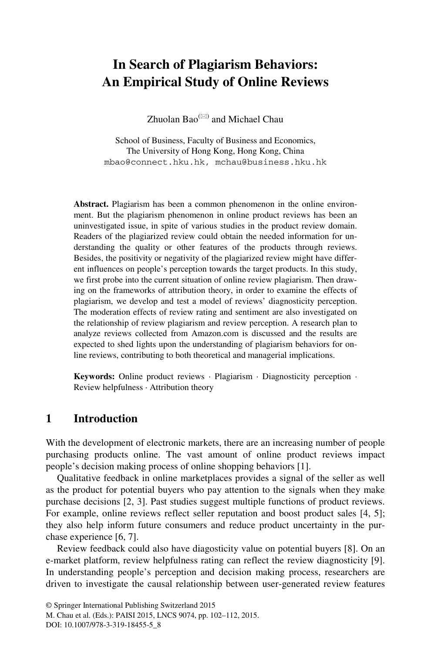# **In Search of Plagiarism Behaviors: An Empirical Study of Online Reviews**

Zhuolan Bao ${}^{\textcircled{\tiny{(}}\boxtimes\textcircled{\tiny{)}}}$  and Michael Chau

School of Business, Faculty of Business and Economics, The University of Hong Kong, Hong Kong, China mbao@connect.hku.hk, mchau@business.hku.hk

**Abstract.** Plagiarism has been a common phenomenon in the online environment. But the plagiarism phenomenon in online product reviews has been an uninvestigated issue, in spite of various studies in the product review domain. Readers of the plagiarized review could obtain the needed information for understanding the quality or other features of the products through reviews. Besides, the positivity or negativity of the plagiarized review might have different influences on people's perception towards the target products. In this study, we first probe into the current situation of online review plagiarism. Then drawing on the frameworks of attribution theory, in order to examine the effects of plagiarism, we develop and test a model of reviews' diagnosticity perception. The moderation effects of review rating and sentiment are also investigated on the relationship of review plagiarism and review perception. A research plan to analyze reviews collected from Amazon.com is discussed and the results are expected to shed lights upon the understanding of plagiarism behaviors for online reviews, contributing to both theoretical and managerial implications.

**Keywords:** Online product reviews · Plagiarism · Diagnosticity perception · Review helpfulness · Attribution theory

## **1 Introduction**

With the development of electronic markets, there are an increasing number of people purchasing products online. The vast amount of online product reviews impact people's decision making process of online shopping behaviors [1].

Qualitative feedback in online marketplaces provides a signal of the seller as well as the product for potential buyers who pay attention to the signals when they make purchase decisions [2, 3]. Past studies suggest multiple functions of product reviews. For example, online reviews reflect seller reputation and boost product sales [4, 5]; they also help inform future consumers and reduce product uncertainty in the purchase experience [6, 7].

Review feedback could also have diagosticity value on potential buyers [8]. On an e-market platform, review helpfulness rating can reflect the review diagnosticity [9]. In understanding people's perception and decision making process, researchers are driven to investigate the causal relationship between user-generated review features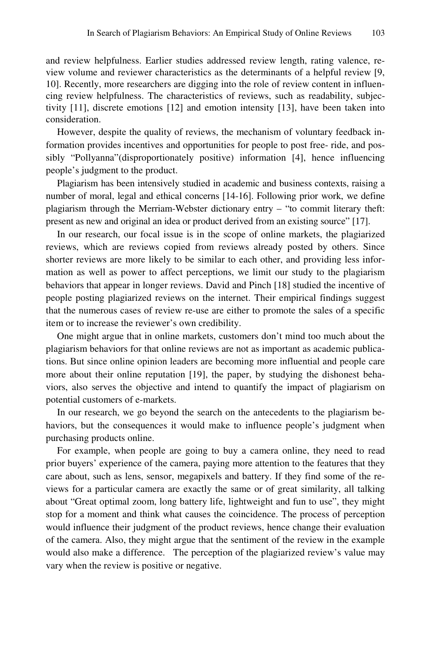and review helpfulness. Earlier studies addressed review length, rating valence, review volume and reviewer characteristics as the determinants of a helpful review [9, 10]. Recently, more researchers are digging into the role of review content in influencing review helpfulness. The characteristics of reviews, such as readability, subjectivity [11], discrete emotions [12] and emotion intensity [13], have been taken into consideration.

However, despite the quality of reviews, the mechanism of voluntary feedback information provides incentives and opportunities for people to post free- ride, and possibly "Pollyanna"(disproportionately positive) information [4], hence influencing people's judgment to the product.

Plagiarism has been intensively studied in academic and business contexts, raising a number of moral, legal and ethical concerns [14-16]. Following prior work, we define plagiarism through the Merriam-Webster dictionary entry – "to commit literary theft: present as new and original an idea or product derived from an existing source" [17].

In our research, our focal issue is in the scope of online markets, the plagiarized reviews, which are reviews copied from reviews already posted by others. Since shorter reviews are more likely to be similar to each other, and providing less information as well as power to affect perceptions, we limit our study to the plagiarism behaviors that appear in longer reviews. David and Pinch [18] studied the incentive of people posting plagiarized reviews on the internet. Their empirical findings suggest that the numerous cases of review re-use are either to promote the sales of a specific item or to increase the reviewer's own credibility.

One might argue that in online markets, customers don't mind too much about the plagiarism behaviors for that online reviews are not as important as academic publications. But since online opinion leaders are becoming more influential and people care more about their online reputation [19], the paper, by studying the dishonest behaviors, also serves the objective and intend to quantify the impact of plagiarism on potential customers of e-markets.

In our research, we go beyond the search on the antecedents to the plagiarism behaviors, but the consequences it would make to influence people's judgment when purchasing products online.

For example, when people are going to buy a camera online, they need to read prior buyers' experience of the camera, paying more attention to the features that they care about, such as lens, sensor, megapixels and battery. If they find some of the reviews for a particular camera are exactly the same or of great similarity, all talking about "Great optimal zoom, long battery life, lightweight and fun to use", they might stop for a moment and think what causes the coincidence. The process of perception would influence their judgment of the product reviews, hence change their evaluation of the camera. Also, they might argue that the sentiment of the review in the example would also make a difference. The perception of the plagiarized review's value may vary when the review is positive or negative.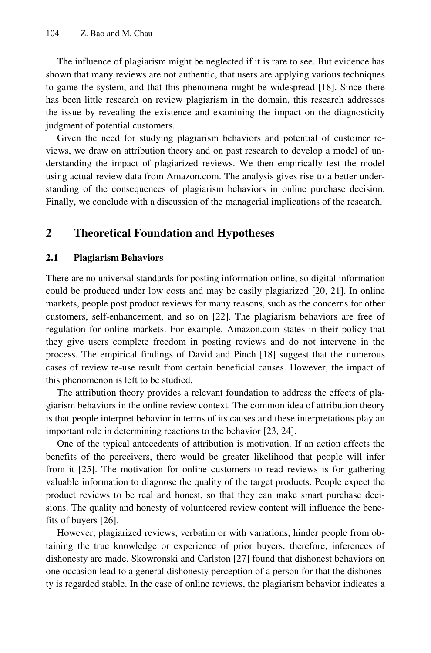The influence of plagiarism might be neglected if it is rare to see. But evidence has shown that many reviews are not authentic, that users are applying various techniques to game the system, and that this phenomena might be widespread [18]. Since there has been little research on review plagiarism in the domain, this research addresses the issue by revealing the existence and examining the impact on the diagnosticity judgment of potential customers.

Given the need for studying plagiarism behaviors and potential of customer reviews, we draw on attribution theory and on past research to develop a model of understanding the impact of plagiarized reviews. We then empirically test the model using actual review data from Amazon.com. The analysis gives rise to a better understanding of the consequences of plagiarism behaviors in online purchase decision. Finally, we conclude with a discussion of the managerial implications of the research.

## **2 Theoretical Foundation and Hypotheses**

#### **2.1 Plagiarism Behaviors**

There are no universal standards for posting information online, so digital information could be produced under low costs and may be easily plagiarized [20, 21]. In online markets, people post product reviews for many reasons, such as the concerns for other customers, self-enhancement, and so on [22]. The plagiarism behaviors are free of regulation for online markets. For example, Amazon.com states in their policy that they give users complete freedom in posting reviews and do not intervene in the process. The empirical findings of David and Pinch [18] suggest that the numerous cases of review re-use result from certain beneficial causes. However, the impact of this phenomenon is left to be studied.

The attribution theory provides a relevant foundation to address the effects of plagiarism behaviors in the online review context. The common idea of attribution theory is that people interpret behavior in terms of its causes and these interpretations play an important role in determining reactions to the behavior [23, 24].

One of the typical antecedents of attribution is motivation. If an action affects the benefits of the perceivers, there would be greater likelihood that people will infer from it [25]. The motivation for online customers to read reviews is for gathering valuable information to diagnose the quality of the target products. People expect the product reviews to be real and honest, so that they can make smart purchase decisions. The quality and honesty of volunteered review content will influence the benefits of buyers [26].

However, plagiarized reviews, verbatim or with variations, hinder people from obtaining the true knowledge or experience of prior buyers, therefore, inferences of dishonesty are made. Skowronski and Carlston [27] found that dishonest behaviors on one occasion lead to a general dishonesty perception of a person for that the dishonesty is regarded stable. In the case of online reviews, the plagiarism behavior indicates a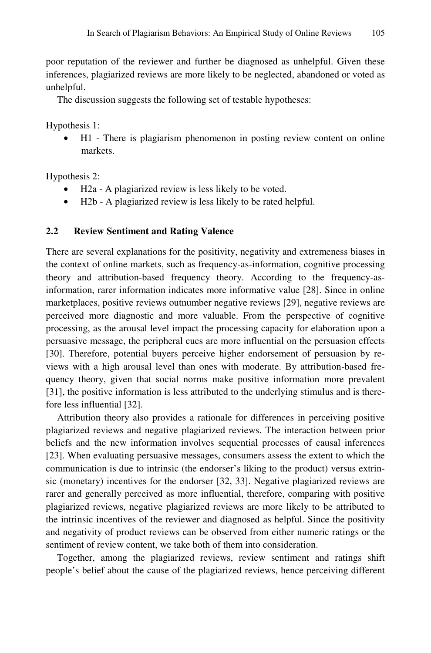poor reputation of the reviewer and further be diagnosed as unhelpful. Given these inferences, plagiarized reviews are more likely to be neglected, abandoned or voted as unhelpful.

The discussion suggests the following set of testable hypotheses:

Hypothesis 1:

• H1 - There is plagiarism phenomenon in posting review content on online markets.

Hypothesis 2:

- H2a A plagiarized review is less likely to be voted.
- H2b A plagiarized review is less likely to be rated helpful.

#### **2.2 Review Sentiment and Rating Valence**

There are several explanations for the positivity, negativity and extremeness biases in the context of online markets, such as frequency-as-information, cognitive processing theory and attribution-based frequency theory. According to the frequency-asinformation, rarer information indicates more informative value [28]. Since in online marketplaces, positive reviews outnumber negative reviews [29], negative reviews are perceived more diagnostic and more valuable. From the perspective of cognitive processing, as the arousal level impact the processing capacity for elaboration upon a persuasive message, the peripheral cues are more influential on the persuasion effects [30]. Therefore, potential buyers perceive higher endorsement of persuasion by reviews with a high arousal level than ones with moderate. By attribution-based frequency theory, given that social norms make positive information more prevalent [31], the positive information is less attributed to the underlying stimulus and is therefore less influential [32].

Attribution theory also provides a rationale for differences in perceiving positive plagiarized reviews and negative plagiarized reviews. The interaction between prior beliefs and the new information involves sequential processes of causal inferences [23]. When evaluating persuasive messages, consumers assess the extent to which the communication is due to intrinsic (the endorser's liking to the product) versus extrinsic (monetary) incentives for the endorser [32, 33]. Negative plagiarized reviews are rarer and generally perceived as more influential, therefore, comparing with positive plagiarized reviews, negative plagiarized reviews are more likely to be attributed to the intrinsic incentives of the reviewer and diagnosed as helpful. Since the positivity and negativity of product reviews can be observed from either numeric ratings or the sentiment of review content, we take both of them into consideration.

Together, among the plagiarized reviews, review sentiment and ratings shift people's belief about the cause of the plagiarized reviews, hence perceiving different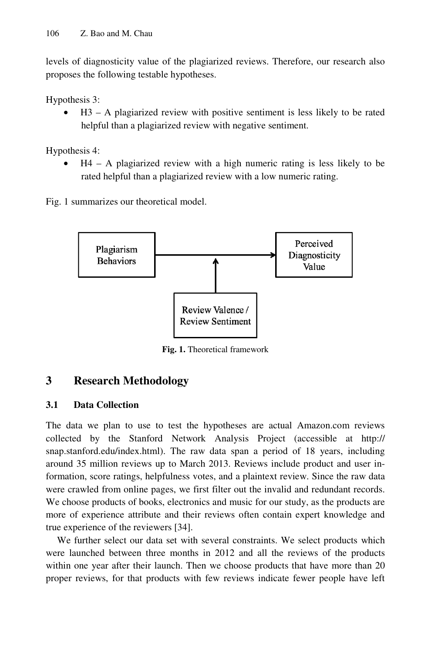levels of diagnosticity value of the plagiarized reviews. Therefore, our research also proposes the following testable hypotheses.

Hypothesis 3:

 $H3 - A$  plagiarized review with positive sentiment is less likely to be rated helpful than a plagiarized review with negative sentiment.

Hypothesis 4:

 $H4 - A$  plagiarized review with a high numeric rating is less likely to be rated helpful than a plagiarized review with a low numeric rating.

Fig. 1 summarizes our theoretical model.



**Fig. 1.** Theoretical framework

## **3 Research Methodology**

## **3.1 Data Collection**

The data we plan to use to test the hypotheses are actual Amazon.com reviews collected by the Stanford Network Analysis Project (accessible at http:// snap.stanford.edu/index.html). The raw data span a period of 18 years, including around 35 million reviews up to March 2013. Reviews include product and user information, score ratings, helpfulness votes, and a plaintext review. Since the raw data were crawled from online pages, we first filter out the invalid and redundant records. We choose products of books, electronics and music for our study, as the products are more of experience attribute and their reviews often contain expert knowledge and true experience of the reviewers [34].

We further select our data set with several constraints. We select products which were launched between three months in 2012 and all the reviews of the products within one year after their launch. Then we choose products that have more than 20 proper reviews, for that products with few reviews indicate fewer people have left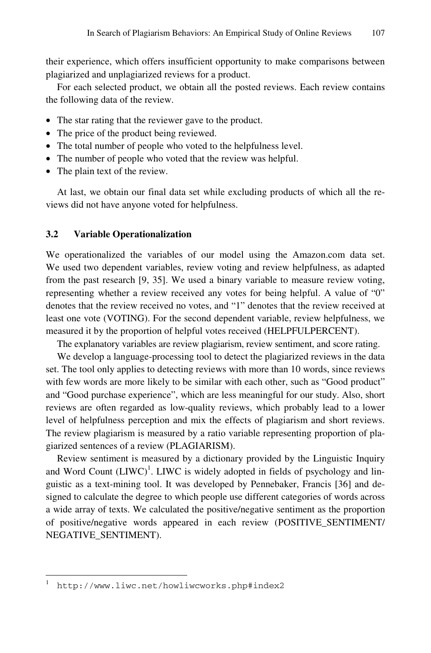their experience, which offers insufficient opportunity to make comparisons between plagiarized and unplagiarized reviews for a product.

For each selected product, we obtain all the posted reviews. Each review contains the following data of the review.

- The star rating that the reviewer gave to the product.
- The price of the product being reviewed.
- The total number of people who voted to the helpfulness level.
- The number of people who voted that the review was helpful.
- The plain text of the review.

At last, we obtain our final data set while excluding products of which all the reviews did not have anyone voted for helpfulness.

#### **3.2 Variable Operationalization**

We operationalized the variables of our model using the Amazon.com data set. We used two dependent variables, review voting and review helpfulness, as adapted from the past research [9, 35]. We used a binary variable to measure review voting, representing whether a review received any votes for being helpful. A value of "0" denotes that the review received no votes, and "1" denotes that the review received at least one vote (VOTING). For the second dependent variable, review helpfulness, we measured it by the proportion of helpful votes received (HELPFULPERCENT).

The explanatory variables are review plagiarism, review sentiment, and score rating.

We develop a language-processing tool to detect the plagiarized reviews in the data set. The tool only applies to detecting reviews with more than 10 words, since reviews with few words are more likely to be similar with each other, such as "Good product" and "Good purchase experience", which are less meaningful for our study. Also, short reviews are often regarded as low-quality reviews, which probably lead to a lower level of helpfulness perception and mix the effects of plagiarism and short reviews. The review plagiarism is measured by a ratio variable representing proportion of plagiarized sentences of a review (PLAGIARISM).

Review sentiment is measured by a dictionary provided by the Linguistic Inquiry and Word Count  $(LIWC)^1$ . LIWC is widely adopted in fields of psychology and linguistic as a text-mining tool. It was developed by Pennebaker, Francis [36] and designed to calculate the degree to which people use different categories of words across a wide array of texts. We calculated the positive/negative sentiment as the proportion of positive/negative words appeared in each review (POSITIVE\_SENTIMENT/ NEGATIVE\_SENTIMENT).

-

<sup>1</sup> http://www.liwc.net/howliwcworks.php#index2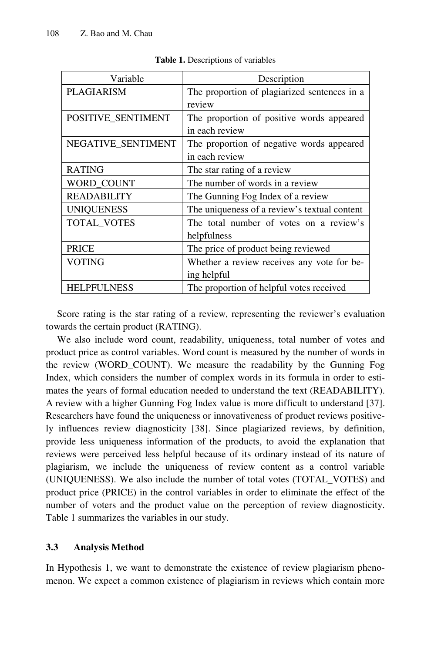| Variable           | Description                                  |
|--------------------|----------------------------------------------|
| <b>PLAGIARISM</b>  | The proportion of plagiarized sentences in a |
|                    | review                                       |
| POSITIVE_SENTIMENT | The proportion of positive words appeared    |
|                    | in each review                               |
| NEGATIVE_SENTIMENT | The proportion of negative words appeared    |
|                    | in each review                               |
| <b>RATING</b>      | The star rating of a review                  |
| WORD_COUNT         | The number of words in a review              |
| <b>READABILITY</b> | The Gunning Fog Index of a review            |
| <b>UNIQUENESS</b>  | The uniqueness of a review's textual content |
| <b>TOTAL VOTES</b> | The total number of votes on a review's      |
|                    | helpfulness                                  |
| <b>PRICE</b>       | The price of product being reviewed          |
| <b>VOTING</b>      | Whether a review receives any vote for be-   |
|                    | ing helpful                                  |
| <b>HELPFULNESS</b> | The proportion of helpful votes received     |

**Table 1.** Descriptions of variables

Score rating is the star rating of a review, representing the reviewer's evaluation towards the certain product (RATING).

We also include word count, readability, uniqueness, total number of votes and product price as control variables. Word count is measured by the number of words in the review (WORD\_COUNT). We measure the readability by the Gunning Fog Index, which considers the number of complex words in its formula in order to estimates the years of formal education needed to understand the text (READABILITY). A review with a higher Gunning Fog Index value is more difficult to understand [37]. Researchers have found the uniqueness or innovativeness of product reviews positively influences review diagnosticity [38]. Since plagiarized reviews, by definition, provide less uniqueness information of the products, to avoid the explanation that reviews were perceived less helpful because of its ordinary instead of its nature of plagiarism, we include the uniqueness of review content as a control variable (UNIQUENESS). We also include the number of total votes (TOTAL\_VOTES) and product price (PRICE) in the control variables in order to eliminate the effect of the number of voters and the product value on the perception of review diagnosticity. Table 1 summarizes the variables in our study.

#### **3.3 Analysis Method**

In Hypothesis 1, we want to demonstrate the existence of review plagiarism phenomenon. We expect a common existence of plagiarism in reviews which contain more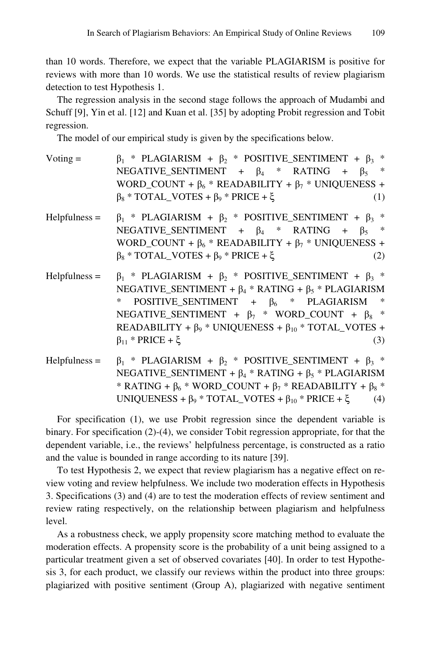than 10 words. Therefore, we expect that the variable PLAGIARISM is positive for reviews with more than 10 words. We use the statistical results of review plagiarism detection to test Hypothesis 1.

The regression analysis in the second stage follows the approach of Mudambi and Schuff [9], Yin et al. [12] and Kuan et al. [35] by adopting Probit regression and Tobit regression.

The model of our empirical study is given by the specifications below.

| Voting $=$      | $\beta_1$ * PLAGIARISM + $\beta_2$ * POSITIVE_SENTIMENT + $\beta_3$ *<br>NEGATIVE_SENTIMENT + $\beta_4$ * RATING + $\beta_5$ *<br>WORD_COUNT + $\beta_6$ * READABILITY + $\beta_7$ * UNIQUENESS +<br>$\beta_8$ * TOTAL_VOTES + $\beta_9$ * PRICE + $\xi$<br>(1)                                                                                                         |
|-----------------|-------------------------------------------------------------------------------------------------------------------------------------------------------------------------------------------------------------------------------------------------------------------------------------------------------------------------------------------------------------------------|
| $Helpfulness =$ | $\beta_1$ * PLAGIARISM + $\beta_2$ * POSITIVE_SENTIMENT + $\beta_3$ *<br>NEGATIVE_SENTIMENT + $\beta_4$ * RATING + $\beta_5$ *<br>WORD_COUNT + $\beta_6$ * READABILITY + $\beta_7$ * UNIQUENESS +<br>$\beta_8$ * TOTAL_VOTES + $\beta_9$ * PRICE + $\xi$<br>(2)                                                                                                         |
| $Helpfulness =$ | $\beta_1$ * PLAGIARISM + $\beta_2$ * POSITIVE_SENTIMENT + $\beta_3$ *<br>NEGATIVE_SENTIMENT + $\beta_4$ * RATING + $\beta_5$ * PLAGIARISM<br>* POSITIVE_SENTIMENT + $\beta_6$ * PLAGIARISM *<br>NEGATIVE_SENTIMENT + $\beta_7$ * WORD_COUNT + $\beta_8$ *<br>READABILITY + $\beta_9$ * UNIQUENESS + $\beta_{10}$ * TOTAL_VOTES +<br>$\beta_{11}$ * PRICE + $\xi$<br>(3) |
| $Helpfulness =$ | $\beta_1$ * PLAGIARISM + $\beta_2$ * POSITIVE_SENTIMENT + $\beta_3$ *<br>NEGATIVE_SENTIMENT + $\beta_4$ * RATING + $\beta_5$ * PLAGIARISM<br>* RATING + $\beta_6$ * WORD COUNT + $\beta_7$ * READABILITY + $\beta_8$ *                                                                                                                                                  |

For specification (1), we use Probit regression since the dependent variable is binary. For specification (2)-(4), we consider Tobit regression appropriate, for that the dependent variable, i.e., the reviews' helpfulness percentage, is constructed as a ratio and the value is bounded in range according to its nature [39].

UNIQUENESS +  $\beta_9$  \* TOTAL\_VOTES +  $\beta_{10}$  \* PRICE + ξ (4)

To test Hypothesis 2, we expect that review plagiarism has a negative effect on review voting and review helpfulness. We include two moderation effects in Hypothesis 3. Specifications (3) and (4) are to test the moderation effects of review sentiment and review rating respectively, on the relationship between plagiarism and helpfulness level.

As a robustness check, we apply propensity score matching method to evaluate the moderation effects. A propensity score is the probability of a unit being assigned to a particular treatment given a set of observed covariates [40]. In order to test Hypothesis 3, for each product, we classify our reviews within the product into three groups: plagiarized with positive sentiment (Group A), plagiarized with negative sentiment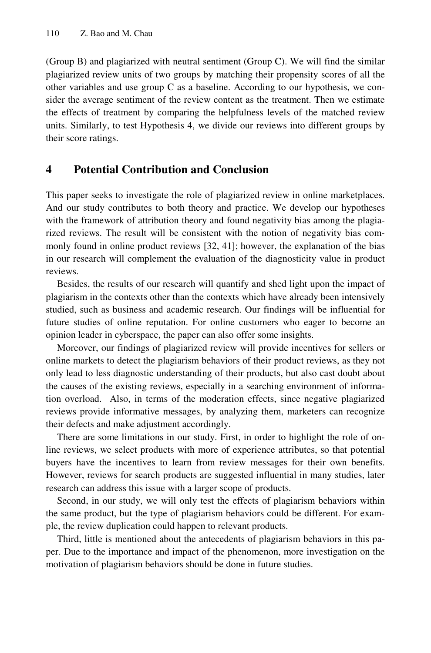(Group B) and plagiarized with neutral sentiment (Group C). We will find the similar plagiarized review units of two groups by matching their propensity scores of all the other variables and use group C as a baseline. According to our hypothesis, we consider the average sentiment of the review content as the treatment. Then we estimate the effects of treatment by comparing the helpfulness levels of the matched review units. Similarly, to test Hypothesis 4, we divide our reviews into different groups by their score ratings.

### **4 Potential Contribution and Conclusion**

This paper seeks to investigate the role of plagiarized review in online marketplaces. And our study contributes to both theory and practice. We develop our hypotheses with the framework of attribution theory and found negativity bias among the plagiarized reviews. The result will be consistent with the notion of negativity bias commonly found in online product reviews [32, 41]; however, the explanation of the bias in our research will complement the evaluation of the diagnosticity value in product reviews.

Besides, the results of our research will quantify and shed light upon the impact of plagiarism in the contexts other than the contexts which have already been intensively studied, such as business and academic research. Our findings will be influential for future studies of online reputation. For online customers who eager to become an opinion leader in cyberspace, the paper can also offer some insights.

Moreover, our findings of plagiarized review will provide incentives for sellers or online markets to detect the plagiarism behaviors of their product reviews, as they not only lead to less diagnostic understanding of their products, but also cast doubt about the causes of the existing reviews, especially in a searching environment of information overload. Also, in terms of the moderation effects, since negative plagiarized reviews provide informative messages, by analyzing them, marketers can recognize their defects and make adjustment accordingly.

There are some limitations in our study. First, in order to highlight the role of online reviews, we select products with more of experience attributes, so that potential buyers have the incentives to learn from review messages for their own benefits. However, reviews for search products are suggested influential in many studies, later research can address this issue with a larger scope of products.

Second, in our study, we will only test the effects of plagiarism behaviors within the same product, but the type of plagiarism behaviors could be different. For example, the review duplication could happen to relevant products.

Third, little is mentioned about the antecedents of plagiarism behaviors in this paper. Due to the importance and impact of the phenomenon, more investigation on the motivation of plagiarism behaviors should be done in future studies.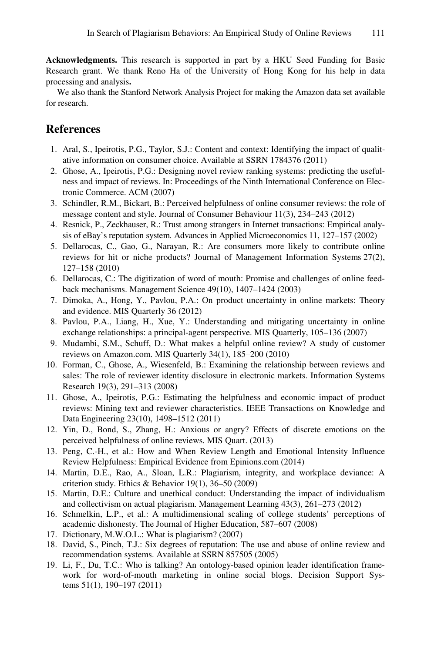**Acknowledgments.** This research is supported in part by a HKU Seed Funding for Basic Research grant. We thank Reno Ha of the University of Hong Kong for his help in data processing and analysis**.** 

We also thank the Stanford Network Analysis Project for making the Amazon data set available for research.

### **References**

- 1. Aral, S., Ipeirotis, P.G., Taylor, S.J.: Content and context: Identifying the impact of qualitative information on consumer choice. Available at SSRN 1784376 (2011)
- 2. Ghose, A., Ipeirotis, P.G.: Designing novel review ranking systems: predicting the usefulness and impact of reviews. In: Proceedings of the Ninth International Conference on Electronic Commerce. ACM (2007)
- 3. Schindler, R.M., Bickart, B.: Perceived helpfulness of online consumer reviews: the role of message content and style. Journal of Consumer Behaviour 11(3), 234–243 (2012)
- 4. Resnick, P., Zeckhauser, R.: Trust among strangers in Internet transactions: Empirical analysis of eBay's reputation system. Advances in Applied Microeconomics 11, 127–157 (2002)
- 5. Dellarocas, C., Gao, G., Narayan, R.: Are consumers more likely to contribute online reviews for hit or niche products? Journal of Management Information Systems 27(2), 127–158 (2010)
- 6. Dellarocas, C.: The digitization of word of mouth: Promise and challenges of online feedback mechanisms. Management Science 49(10), 1407–1424 (2003)
- 7. Dimoka, A., Hong, Y., Pavlou, P.A.: On product uncertainty in online markets: Theory and evidence. MIS Quarterly 36 (2012)
- 8. Pavlou, P.A., Liang, H., Xue, Y.: Understanding and mitigating uncertainty in online exchange relationships: a principal-agent perspective. MIS Quarterly, 105–136 (2007)
- 9. Mudambi, S.M., Schuff, D.: What makes a helpful online review? A study of customer reviews on Amazon.com. MIS Quarterly 34(1), 185–200 (2010)
- 10. Forman, C., Ghose, A., Wiesenfeld, B.: Examining the relationship between reviews and sales: The role of reviewer identity disclosure in electronic markets. Information Systems Research 19(3), 291–313 (2008)
- 11. Ghose, A., Ipeirotis, P.G.: Estimating the helpfulness and economic impact of product reviews: Mining text and reviewer characteristics. IEEE Transactions on Knowledge and Data Engineering 23(10), 1498–1512 (2011)
- 12. Yin, D., Bond, S., Zhang, H.: Anxious or angry? Effects of discrete emotions on the perceived helpfulness of online reviews. MIS Quart. (2013)
- 13. Peng, C.-H., et al.: How and When Review Length and Emotional Intensity Influence Review Helpfulness: Empirical Evidence from Epinions.com (2014)
- 14. Martin, D.E., Rao, A., Sloan, L.R.: Plagiarism, integrity, and workplace deviance: A criterion study. Ethics & Behavior 19(1), 36–50 (2009)
- 15. Martin, D.E.: Culture and unethical conduct: Understanding the impact of individualism and collectivism on actual plagiarism. Management Learning 43(3), 261–273 (2012)
- 16. Schmelkin, L.P., et al.: A multidimensional scaling of college students' perceptions of academic dishonesty. The Journal of Higher Education, 587–607 (2008)
- 17. Dictionary, M.W.O.L.: What is plagiarism? (2007)
- 18. David, S., Pinch, T.J.: Six degrees of reputation: The use and abuse of online review and recommendation systems. Available at SSRN 857505 (2005)
- 19. Li, F., Du, T.C.: Who is talking? An ontology-based opinion leader identification framework for word-of-mouth marketing in online social blogs. Decision Support Systems 51(1), 190–197 (2011)